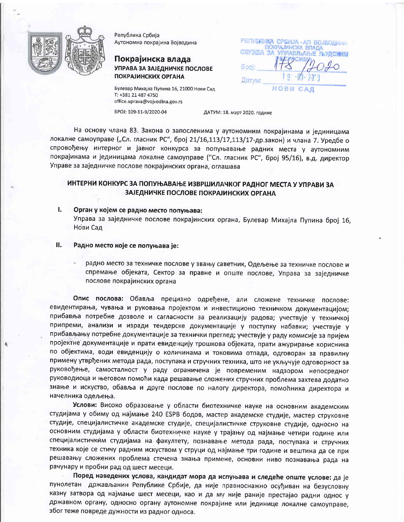

Република Србија Аутономна покрајина Војводина

## Покрајинска влада УПРАВА ЗА ЗАЈЕДНИЧКЕ ПОСЛОВЕ ПОКРАЈИНСКИХ ОРГАНА

PETIVENIMA CPEMJA - AFI BOJBODAHA ПОКРАМНСКА ВЛАДА CITY NOSA 3/ **УПРАВЛЬАЊЕ ЛЬУДСКИМ** Датум: НОВИ

Булевар Михајла Пупина 16, 21000 Нови Сад T: +381 21 487 4750 office.uprava@vojvodina.gov.rs EPOJ: 109-11-9/2020-04

ДАТУМ: 18. март 2020. године

На основу члана 83. Закона о запосленима у аутономним покрајинама и јединицама локалне самоуправе ("Сл. гласник РС", број 21/16,113/17,113/17-др.закон) и члана 7. Уредбе о спровођењу интерног и јавног конкурса за попуњавање радних места у аутономним покрајинама и јединицама локалне самоуправе ("Сл. гласник РС", број 95/16), в.д. директор Управе за заједничке послове покрајинских органа, оглашава

# ИНТЕРНИ КОНКУРС ЗА ПОПУЊАВАЊЕ ИЗВРШИЛАЧКОГ РАДНОГ МЕСТА У УПРАВИ ЗА ЗАЈЕДНИЧКЕ ПОСЛОВЕ ПОКРАЈИНСКИХ ОРГАНА

 $\mathbf{L}$ Орган у којем се радно место попуњава:

> Управа за заједничке послове покрајинских органа, Булевар Михајла Пупина број 16, Нови Сад

- П. Радно место које се попуњава је:
	- радно место за техничке послове у звању саветник, Одељење за техничке послове и спремање објеката, Сектор за правне и опште послове, Управа за заједничке послове покрајинских органа

Опис послова: Обавља прецизно одређене, али сложене техничке послове: евидентирања, чувања и руковања пројектом и инвестиционо техничком документацијом; прибавља потребне дозволе и сагласности за реализацију радова; учествује у техничкој припреми, анализи и изради тендерске документације у поступку набавки; учествује у прибављању потребне документације за технички преглед; учествује у раду комисије за пријем пројектне документације и прати евиденцију трошкова објеката, прати ажурирање корисника по објектима, води евиденцију о количинама и токовима отпада, одговоран за правилну примену утврђених метода рада, поступака и стручних техника, што не укључује одговорност за руковођење, самосталност у раду ограничена је повременим надзором непосредног руководиоца и његовом помоћи када решавање сложених стручних проблема захтева додатно знање и искуство, обавља и друге послове по налогу директора, помоћника директора и начелника одељења.

Услови: Високо образовање у области биотехничке науке на основним академским студијама у обиму од најмање 240 ESPB бодов, мастер академске студије, мастер струковне студије, специјалистичке академске студије, специјалистичке струковне студије, односно на основним студијама у области биотехничке науке у трајању од најмање четири године или специјалистичким студијама на факултету, познавање метода рада, поступака и стручних техника које се стичу радним искуством у струци од најмање три године и вештина да се при решавању сложених проблема стечена знања примене, основни ниво познавања рада на рачунару и пробни рад од шест месеци.

Поред наведених услова, кандидат мора да испуњава и следеће опште услове: да је пунолетан држављанин Републике Србије, да није правноснажно осуђиван на безусловну казну затвора од најмање шест месеци, као и да му није раније престајао радни однос у државном органу, односно органу аутономне покрајине или јединице локалне самоуправе, због теже повреде дужности из радног односа.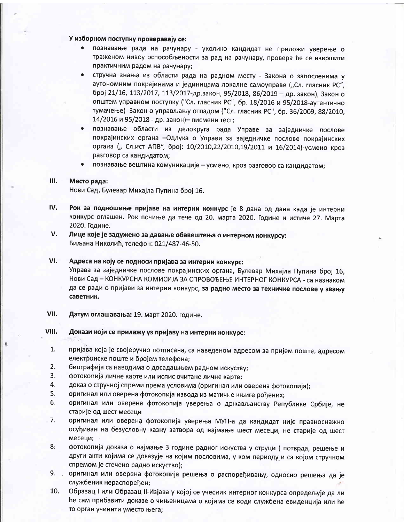## У изборном поступку проверавају се:

- познавање рада на рачунару уколико кандидат не приложи уверење о траженом нивоу оспособљености за рад на рачунару, провера ће се извршити практичним радом на рачунару;
- стручна знања из области рада на радном месту Закона о запосленима у аутономним покрајинама и јединицама локалне самоуправе ("Сл. гласник РС", број 21/16, 113/2017, 113/2017-др.закон, 95/2018, 86/2019 - др. закон), Закон о општем управном поступку ("Сл. гласник РС", бр. 18/2016 и 95/2018-аутентично тумачење) Закон о управљању отпадом ("Сл. гласник РС", бр. 36/2009, 88/2010, 14/2016 и 95/2018 - др. закон)- писмени тест;
- познавање области из делокруга рада Управе за заједничке послове покрајинских органа - Одлука о Управи за заједничке послове покрајинских органа ("Сл.ист АПВ", број: 10/2010,22/2010,19/2011 и 16/2014)-усмено кроз разговор са кандидатом;
- познавање вештина комуникације усмено, кроз разговор са кандидатом;

#### Ш. Место рада:

саветник.

Нови Сад, Булевар Михајла Пупина број 16.

- IV. Рок за подношење пријаве на интерни конкурс је 8 дана од дана када је интерни конкурс оглашен. Рок почиње да тече од 20. марта 2020. Године и истиче 27. Марта 2020. Године.
- V. Лице које је задужено за давање обавештења о интерном конкурсу: Биљана Николић, телефон: 021/487-46-50.
- VI. Адреса на коју се подноси пријава за интерни конкурс: Управа за заједничке послове покрајинских органа, Булевар Михајла Пупина број 16, Нови Сад - КОНКУРСНА КОМИСИЈА ЗА СПРОВОЂЕЊЕ ИНТЕРНОГ КОНКУРСА - са назнаком да се ради о пријави за интерни конкурс, за радно место за техничке послове у звању
- VII. Датум оглашавања: 19. март 2020. године.

#### VIII. Докази који се прилажу уз пријаву на интерни конкурс:

- $1.$ пријава која је својеручно потписана, са наведеном адресом за пријем поште, адресом електронске поште и бројем телефона;
- $2.$ биографија са наводима о досадашњем радном искуству;
- $3<sub>1</sub>$ фотокопија личне карте или испис очитане личне карте;
- 4. доказ о стручној спреми према условима (оригинал или оверена фотокопија);
- 5. оригинал или оверена фотокопија извода из матичне књиге рођених;
- 6. оригинал или оверена фотокопија уверења о држављанству Републике Србије, не старије од шест месеци
- $7.$ оригинал или оверена фотокопија уверења МУП-а да кандидат није правноснажно осуђиван на безусловну казну затвора од најмање шест месеци, не старије од шест месеци;
- 8. фотокопија доказа о најмање 3 године радног искуства у струци (потврда, решење и други акти којима се доказује на којим пословима, у ком периоду и са којом стручном спремом је стечено радно искуство);
- $9.$ оригинал или оверена фотокопија решења о распоређивању, односно решења да је службеник нераспоређен;
- $10.$ Образац I или Образац II-Изјава у којој се учесник интерног конкурса опредељује да ли ће сам прибавити доказе о чињеницама о којима се води службена евиденција или ће то орган учинити уместо њега;